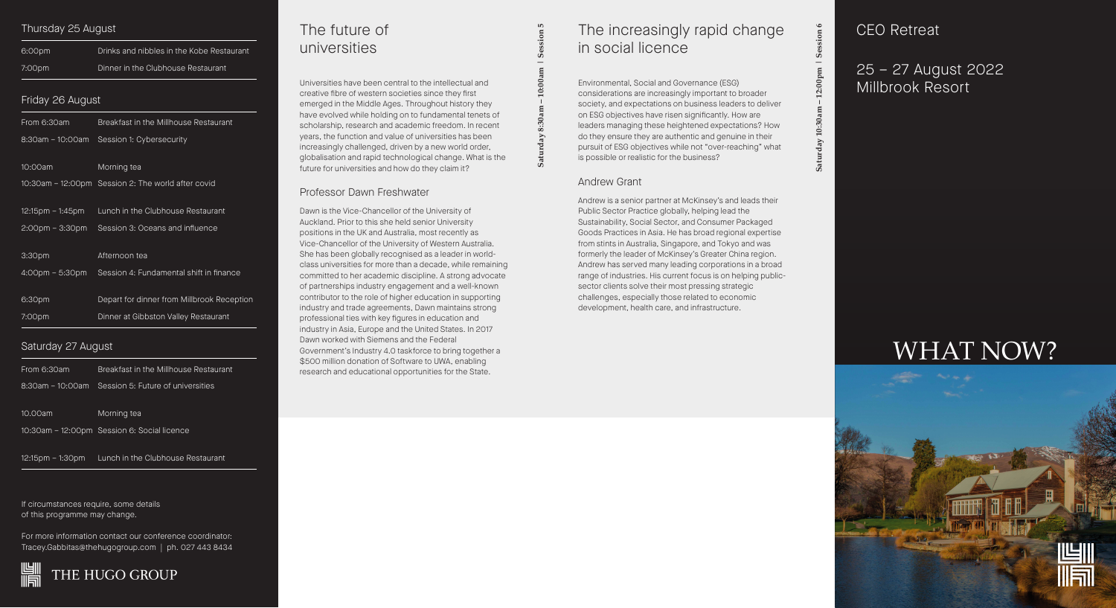If circumstances require, some details of this programme may change.

For more information contact our conference coordinator: Tracey.Gabbitas@thehugogroup.com | ph. 027 443 8434



### Thursday 25 August

| 6:00pm | Drinks and nibbles in the Kobe Restaurant |
|--------|-------------------------------------------|
| 7:00pm | Dinner in the Clubhouse Restaurant        |

## Friday 26 August

| From 6:30am                       | Breakfast in the Millhouse Restaurant              |
|-----------------------------------|----------------------------------------------------|
| 8:30am - 10:00am                  | Session 1: Cybersecurity                           |
|                                   |                                                    |
| 10:00am                           | Morning tea                                        |
|                                   | 10:30am – 12:00pm Session 2: The world after covid |
|                                   |                                                    |
| 12:15pm – 1:45pm                  | Lunch in the Clubhouse Restaurant                  |
| $2:00 \text{pm} - 3:30 \text{pm}$ | Session 3: Oceans and influence                    |
|                                   |                                                    |
| 3:30pm                            | Afternoon tea                                      |
| $4:00 \text{pm} - 5:30 \text{pm}$ | Session 4: Fundamental shift in finance            |
|                                   |                                                    |
| 6:30pm                            | Depart for dinner from Millbrook Reception         |
| 7:00pm                            | Dinner at Gibbston Valley Restaurant               |
|                                   |                                                    |

# Saturday 27 August

| From 6:30am      | Breakfast in the Millhouse Restaurant       |
|------------------|---------------------------------------------|
| 8:30am - 10:00am | Session 5: Future of universities           |
| 10.00am          | Morning tea                                 |
|                  | 10:30am – 12:00pm Session 6: Social licence |
|                  |                                             |

12:15pm – 1:30pm Lunch in the Clubhouse Restaurant

 **Saturday 8:30am – 10:00am | Session 5**

Saturday

dession

# The future of universities

# 25 – 27 August 2022 Millbrook Resort

Universities have been central to the intellectual and creative fibre of western societies since they first emerged in the Middle Ages. Throughout history they have evolved while holding on to fundamental tenets of scholarship, research and academic freedom. In recent years, the function and value of universities has been increasingly challenged, driven by a new world order, globalisation and rapid technological change. What is the future for universities and how do they claim it?

### Professor Dawn Freshwater

Dawn is the Vice-Chancellor of the University of Auckland. Prior to this she held senior University positions in the UK and Australia, most recently as Vice-Chancellor of the University of Western Australia. She has been globally recognised as a leader in worldclass universities for more than a decade, while remaining committed to her academic discipline. A strong advocate of partnerships industry engagement and a well-known contributor to the role of higher education in supporting industry and trade agreements, Dawn maintains strong professional ties with key figures in education and industry in Asia, Europe and the United States. In 2017 Dawn worked with Siemens and the Federal Government's Industry 4.0 taskforce to bring together a \$500 million donation of Software to UWA, enabling research and educational opportunities for the State.

# CEO Retreat

# WHAT NOW?



# The increasingly rapid change in social licence

Environmental, Social and Governance (ESG) considerations are increasingly important to broader society, and expectations on business leaders to deliver on ESG objectives have risen significantly. How are leaders managing these heightened expectations? How do they ensure they are authentic and genuine in their pursuit of ESG objectives while not "over-reaching" what is possible or realistic for the business?

### Andrew Grant

Andrew is a senior partner at McKinsey's and leads their Public Sector Practice globally, helping lead the Sustainability, Social Sector, and Consumer Packaged Goods Practices in Asia. He has broad regional expertise from stints in Australia, Singapore, and Tokyo and was formerly the leader of McKinsey's Greater China region. Andrew has served many leading corporations in a broad range of industries. His current focus is on helping publicsector clients solve their most pressing strategic challenges, especially those related to economic development, health care, and infrastructure.